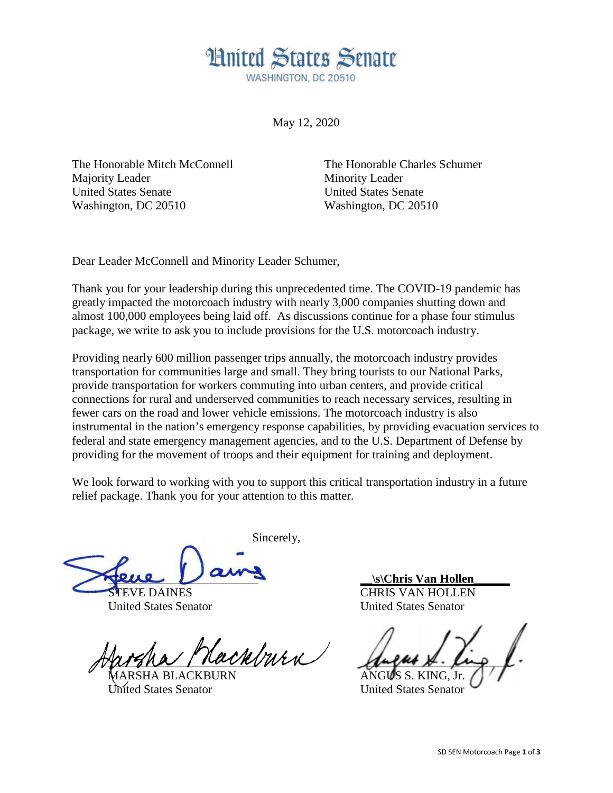## **Hnited States Senate** WASHINGTON, DC 20510

May 12, 2020

The Honorable Mitch McConnell Majority Leader United States Senate Washington, DC 20510

The Honorable Charles Schumer Minority Leader United States Senate Washington, DC 20510

Dear Leader McConnell and Minority Leader Schumer,

Thank you for your leadership during this unprecedented time. The COVID-19 pandemic has greatly impacted the motorcoach industry with nearly 3,000 companies shutting down and almost 100,000 employees being laid off. As discussions continue for a phase four stimulus package, we write to ask you to include provisions for the U.S. motorcoach industry.

Providing nearly 600 million passenger trips annually, the motorcoach industry provides transportation for communities large and small. They bring tourists to our National Parks, provide transportation for workers commuting into urban centers, and provide critical connections for rural and underserved communities to reach necessary services, resulting in fewer cars on the road and lower vehicle emissions. The motorcoach industry is also instrumental in the nation's emergency response capabilities, by providing evacuation services to federal and state emergency management agencies, and to the U.S. Department of Defense by providing for the movement of troops and their equipment for training and deployment.

We look forward to working with you to support this critical transportation industry in a future relief package. Thank you for your attention to this matter.

Sincerely, l, pene Van:

**EVE DAINES** United States Senator

nitri - $\mathscr{U}$ 

MARSHA BLACKBURN fted States Senator

**\_\_\s\Chris Van Hollen\_\_\_\_\_\_** CHRIS VAN HOLLEN United States Senator

 $\mathcal{L}$ ANGUS S. KING, Jr.

United States Senator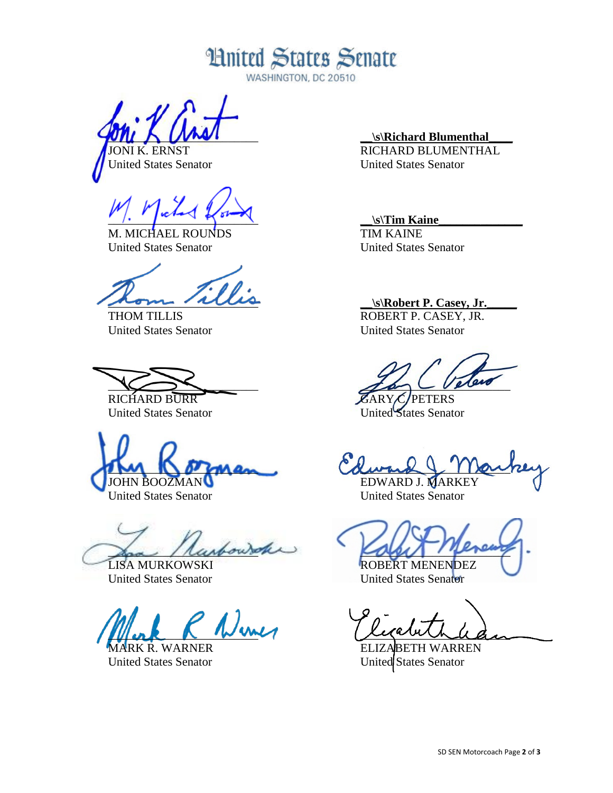**Hnited States Senate** 

WASHINGTON, DC 20510

 $\omega$ 

JONI K. ERNST United States Senator

 $\sim$   $\sim$   $\sim$   $\sim$   $\sim$ 

MICHAEL ROUNDS United States Senator

\_\_\_\_\_\_\_\_\_\_\_\_\_\_\_\_\_\_\_\_\_\_\_\_\_

THOM TILLIS United States Senator

 $\searrow$ RICHARD BURR

United States Senator

 $\sum_{i=1}^n a_i$ JOHN BOOZMAN

United States Senator

 $\mathcal{L}_{\text{sub}}$ 

LISA MURKOWSKI United States Senator

 $\mu$  ork  $\kappa$  was

RK R. WARNER United States Senator

**\_\_\s\Richard Blumenthal\_\_\_\_**

RICHARD BLUMENTHAL United States Senator

## **\_\_\s\Tim Kaine\_\_\_\_\_\_\_\_\_\_\_\_\_\_**

TIM KAINE United States Senator

**\_\_\s\Robert P. Casey, Jr.\_\_\_\_\_**

ROBERT P. CASEY, JR. United States Senator

 $\mathcal{I}$  and  $\mathcal{I}$  below

ARY C/PETERS United States Senator

 $Lwu \times 1 \text{Re}$ 

EDWARD J. MARKEY United States Senator

cover message ROBERT MENENDEZ

United States Senator

ricombilen

TH WARREN United States Senator